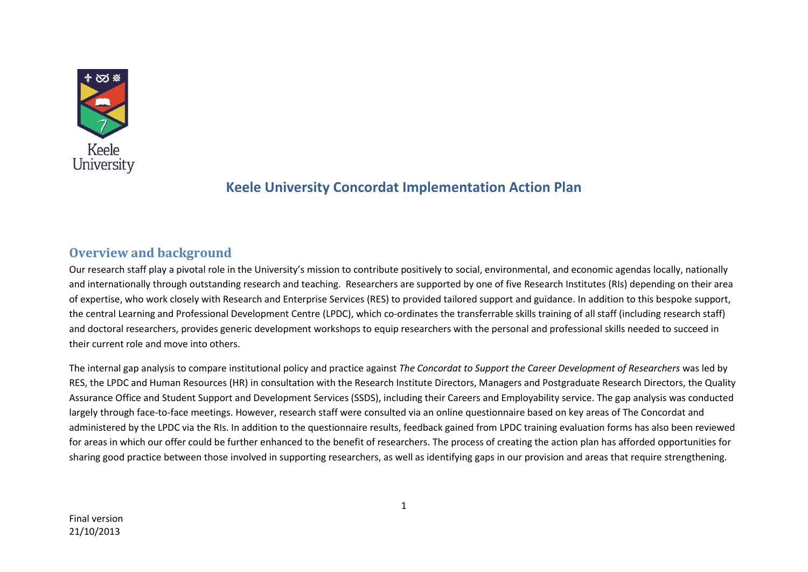

# **Keele University Concordat Implementation Action Plan**

# **Overview and background**

Our research staff play a pivotal role in the University's mission to contribute positively to social, environmental, and economic agendas locally, nationally and internationally through outstanding research and teaching. Researchers are supported by one of five Research Institutes (RIs) depending on their area of expertise, who work closely with Research and Enterprise Services (RES) to provided tailored support and guidance. In addition to this bespoke support, the central Learning and Professional Development Centre (LPDC), which co-ordinates the transferrable skills training of all staff (including research staff) and doctoral researchers, provides generic development workshops to equip researchers with the personal and professional skills needed to succeed in their current role and move into others.

The internal gap analysis to compare institutional policy and practice against *The Concordat to Support the Career Development of Researchers* was led by RES, the LPDC and Human Resources (HR) in consultation with the Research Institute Directors, Managers and Postgraduate Research Directors, the Quality Assurance Office and Student Support and Development Services (SSDS), including their Careers and Employability service. The gap analysis was conducted largely through face-to-face meetings. However, research staff were consulted via an online questionnaire based on key areas of The Concordat and administered by the LPDC via the RIs. In addition to the questionnaire results, feedback gained from LPDC training evaluation forms has also been reviewed for areas in which our offer could be further enhanced to the benefit of researchers. The process of creating the action plan has afforded opportunities for sharing good practice between those involved in supporting researchers, as well as identifying gaps in our provision and areas that require strengthening.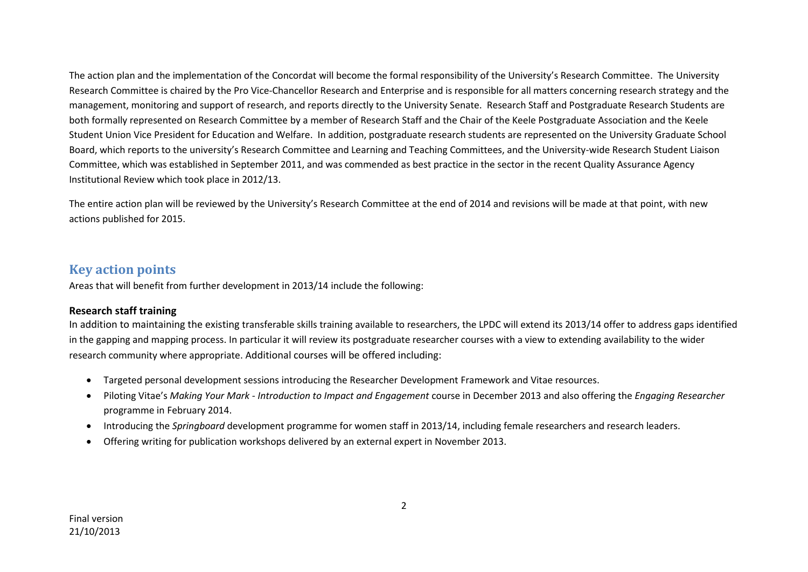The action plan and the implementation of the Concordat will become the formal responsibility of the University's Research Committee. The University Research Committee is chaired by the Pro Vice-Chancellor Research and Enterprise and is responsible for all matters concerning research strategy and the management, monitoring and support of research, and reports directly to the University Senate. Research Staff and Postgraduate Research Students are both formally represented on Research Committee by a member of Research Staff and the Chair of the Keele Postgraduate Association and the Keele Student Union Vice President for Education and Welfare. In addition, postgraduate research students are represented on the University Graduate School Board, which reports to the university's Research Committee and Learning and Teaching Committees, and the University-wide Research Student Liaison Committee, which was established in September 2011, and was commended as best practice in the sector in the recent Quality Assurance Agency Institutional Review which took place in 2012/13.

The entire action plan will be reviewed by the University's Research Committee at the end of 2014 and revisions will be made at that point, with new actions published for 2015.

## **Key action points**

Areas that will benefit from further development in 2013/14 include the following:

### **Research staff training**

In addition to maintaining the existing transferable skills training available to researchers, the LPDC will extend its 2013/14 offer to address gaps identified in the gapping and mapping process. In particular it will review its postgraduate researcher courses with a view to extending availability to the wider research community where appropriate. Additional courses will be offered including:

- Targeted personal development sessions introducing the Researcher Development Framework and Vitae resources.
- Piloting Vitae's *Making Your Mark - Introduction to Impact and Engagement* course in December 2013 and also offering the *Engaging Researcher* programme in February 2014.
- Introducing the *Springboard* development programme for women staff in 2013/14, including female researchers and research leaders.
- Offering writing for publication workshops delivered by an external expert in November 2013.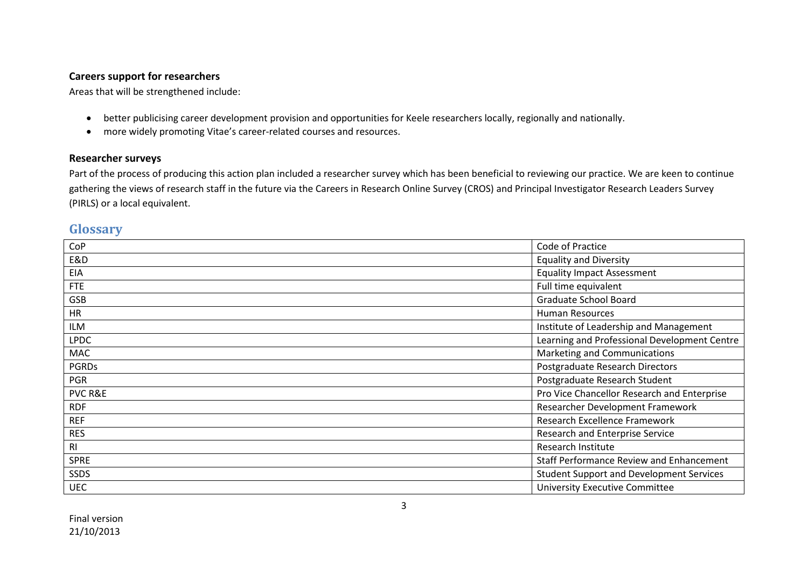## **Careers support for researchers**

Areas that will be strengthened include:

- better publicising career development provision and opportunities for Keele researchers locally, regionally and nationally.
- more widely promoting Vitae's career-related courses and resources.

## **Researcher surveys**

Part of the process of producing this action plan included a researcher survey which has been beneficial to reviewing our practice. We are keen to continue gathering the views of research staff in the future via the Careers in Research Online Survey (CROS) and Principal Investigator Research Leaders Survey (PIRLS) or a local equivalent.

## **Glossary**

| CoP                | Code of Practice                                |
|--------------------|-------------------------------------------------|
| E&D                | <b>Equality and Diversity</b>                   |
| <b>EIA</b>         | <b>Equality Impact Assessment</b>               |
| <b>FTE</b>         | Full time equivalent                            |
| GSB                | Graduate School Board                           |
| <b>HR</b>          | <b>Human Resources</b>                          |
| ILM                | Institute of Leadership and Management          |
| <b>LPDC</b>        | Learning and Professional Development Centre    |
| MAC                | Marketing and Communications                    |
| <b>PGRDs</b>       | Postgraduate Research Directors                 |
| <b>PGR</b>         | Postgraduate Research Student                   |
| <b>PVC R&amp;E</b> | Pro Vice Chancellor Research and Enterprise     |
| <b>RDF</b>         | Researcher Development Framework                |
| <b>REF</b>         | Research Excellence Framework                   |
| <b>RES</b>         | Research and Enterprise Service                 |
| R <sub>l</sub>     | Research Institute                              |
| <b>SPRE</b>        | <b>Staff Performance Review and Enhancement</b> |
| <b>SSDS</b>        | <b>Student Support and Development Services</b> |
| <b>UEC</b>         | <b>University Executive Committee</b>           |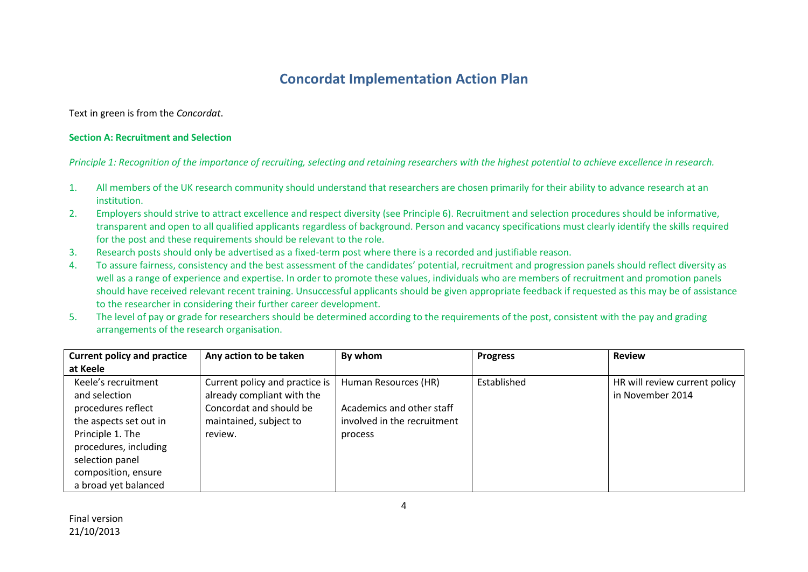# **Concordat Implementation Action Plan**

Text in green is from the *Concordat*.

#### **Section A: Recruitment and Selection**

*Principle 1: Recognition of the importance of recruiting, selecting and retaining researchers with the highest potential to achieve excellence in research.*

- 1. All members of the UK research community should understand that researchers are chosen primarily for their ability to advance research at an institution.
- 2. Employers should strive to attract excellence and respect diversity (see Principle 6). Recruitment and selection procedures should be informative, transparent and open to all qualified applicants regardless of background. Person and vacancy specifications must clearly identify the skills required for the post and these requirements should be relevant to the role.
- 3. Research posts should only be advertised as a fixed-term post where there is a recorded and justifiable reason.
- 4. To assure fairness, consistency and the best assessment of the candidates' potential, recruitment and progression panels should reflect diversity as well as a range of experience and expertise. In order to promote these values, individuals who are members of recruitment and promotion panels should have received relevant recent training. Unsuccessful applicants should be given appropriate feedback if requested as this may be of assistance to the researcher in considering their further career development.
- 5. The level of pay or grade for researchers should be determined according to the requirements of the post, consistent with the pay and grading arrangements of the research organisation.

| <b>Current policy and practice</b>                                                                                                                                                                  | Any action to be taken                                                                                                       | By whom                                                                                     | <b>Progress</b> | <b>Review</b>                                     |
|-----------------------------------------------------------------------------------------------------------------------------------------------------------------------------------------------------|------------------------------------------------------------------------------------------------------------------------------|---------------------------------------------------------------------------------------------|-----------------|---------------------------------------------------|
| at Keele                                                                                                                                                                                            |                                                                                                                              |                                                                                             |                 |                                                   |
| Keele's recruitment<br>and selection<br>procedures reflect<br>the aspects set out in<br>Principle 1. The<br>procedures, including<br>selection panel<br>composition, ensure<br>a broad yet balanced | Current policy and practice is<br>already compliant with the<br>Concordat and should be<br>maintained, subject to<br>review. | Human Resources (HR)<br>Academics and other staff<br>involved in the recruitment<br>process | Established     | HR will review current policy<br>in November 2014 |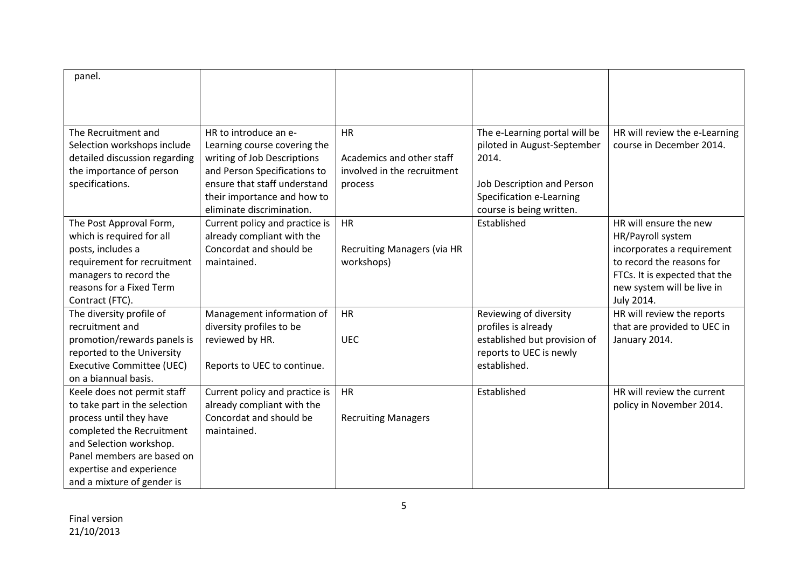| panel.                           |                                |                                    |                               |                               |
|----------------------------------|--------------------------------|------------------------------------|-------------------------------|-------------------------------|
|                                  |                                |                                    |                               |                               |
|                                  |                                |                                    |                               |                               |
|                                  |                                |                                    |                               |                               |
| The Recruitment and              | HR to introduce an e-          | <b>HR</b>                          | The e-Learning portal will be | HR will review the e-Learning |
| Selection workshops include      | Learning course covering the   |                                    | piloted in August-September   | course in December 2014.      |
| detailed discussion regarding    | writing of Job Descriptions    | Academics and other staff          | 2014.                         |                               |
| the importance of person         | and Person Specifications to   | involved in the recruitment        |                               |                               |
| specifications.                  | ensure that staff understand   | process                            | Job Description and Person    |                               |
|                                  | their importance and how to    |                                    | Specification e-Learning      |                               |
|                                  | eliminate discrimination.      |                                    | course is being written.      |                               |
| The Post Approval Form,          | Current policy and practice is | <b>HR</b>                          | Established                   | HR will ensure the new        |
| which is required for all        | already compliant with the     |                                    |                               | HR/Payroll system             |
| posts, includes a                | Concordat and should be        | <b>Recruiting Managers (via HR</b> |                               | incorporates a requirement    |
| requirement for recruitment      | maintained.                    | workshops)                         |                               | to record the reasons for     |
| managers to record the           |                                |                                    |                               | FTCs. It is expected that the |
| reasons for a Fixed Term         |                                |                                    |                               | new system will be live in    |
| Contract (FTC).                  |                                |                                    |                               | July 2014.                    |
| The diversity profile of         | Management information of      | <b>HR</b>                          | Reviewing of diversity        | HR will review the reports    |
| recruitment and                  | diversity profiles to be       |                                    | profiles is already           | that are provided to UEC in   |
| promotion/rewards panels is      | reviewed by HR.                | <b>UEC</b>                         | established but provision of  | January 2014.                 |
| reported to the University       |                                |                                    | reports to UEC is newly       |                               |
| <b>Executive Committee (UEC)</b> | Reports to UEC to continue.    |                                    | established.                  |                               |
| on a biannual basis.             |                                |                                    |                               |                               |
| Keele does not permit staff      | Current policy and practice is | <b>HR</b>                          | Established                   | HR will review the current    |
| to take part in the selection    | already compliant with the     |                                    |                               | policy in November 2014.      |
| process until they have          | Concordat and should be        | <b>Recruiting Managers</b>         |                               |                               |
| completed the Recruitment        | maintained.                    |                                    |                               |                               |
| and Selection workshop.          |                                |                                    |                               |                               |
| Panel members are based on       |                                |                                    |                               |                               |
| expertise and experience         |                                |                                    |                               |                               |
| and a mixture of gender is       |                                |                                    |                               |                               |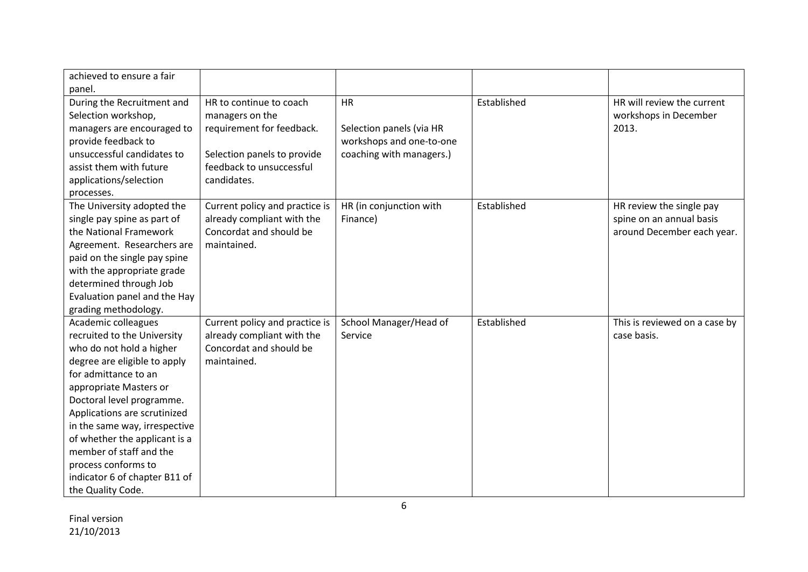| achieved to ensure a fair     |                                |                          |             |                               |
|-------------------------------|--------------------------------|--------------------------|-------------|-------------------------------|
| panel.                        |                                |                          |             |                               |
| During the Recruitment and    | HR to continue to coach        | <b>HR</b>                | Established | HR will review the current    |
| Selection workshop,           | managers on the                |                          |             | workshops in December         |
| managers are encouraged to    | requirement for feedback.      | Selection panels (via HR |             | 2013.                         |
| provide feedback to           |                                | workshops and one-to-one |             |                               |
| unsuccessful candidates to    | Selection panels to provide    | coaching with managers.) |             |                               |
| assist them with future       | feedback to unsuccessful       |                          |             |                               |
| applications/selection        | candidates.                    |                          |             |                               |
| processes.                    |                                |                          |             |                               |
| The University adopted the    | Current policy and practice is | HR (in conjunction with  | Established | HR review the single pay      |
| single pay spine as part of   | already compliant with the     | Finance)                 |             | spine on an annual basis      |
| the National Framework        | Concordat and should be        |                          |             | around December each year.    |
| Agreement. Researchers are    | maintained.                    |                          |             |                               |
| paid on the single pay spine  |                                |                          |             |                               |
| with the appropriate grade    |                                |                          |             |                               |
| determined through Job        |                                |                          |             |                               |
| Evaluation panel and the Hay  |                                |                          |             |                               |
| grading methodology.          |                                |                          |             |                               |
| Academic colleagues           | Current policy and practice is | School Manager/Head of   | Established | This is reviewed on a case by |
| recruited to the University   | already compliant with the     | Service                  |             | case basis.                   |
| who do not hold a higher      | Concordat and should be        |                          |             |                               |
| degree are eligible to apply  | maintained.                    |                          |             |                               |
| for admittance to an          |                                |                          |             |                               |
| appropriate Masters or        |                                |                          |             |                               |
| Doctoral level programme.     |                                |                          |             |                               |
| Applications are scrutinized  |                                |                          |             |                               |
| in the same way, irrespective |                                |                          |             |                               |
| of whether the applicant is a |                                |                          |             |                               |
| member of staff and the       |                                |                          |             |                               |
| process conforms to           |                                |                          |             |                               |
| indicator 6 of chapter B11 of |                                |                          |             |                               |
| the Quality Code.             |                                |                          |             |                               |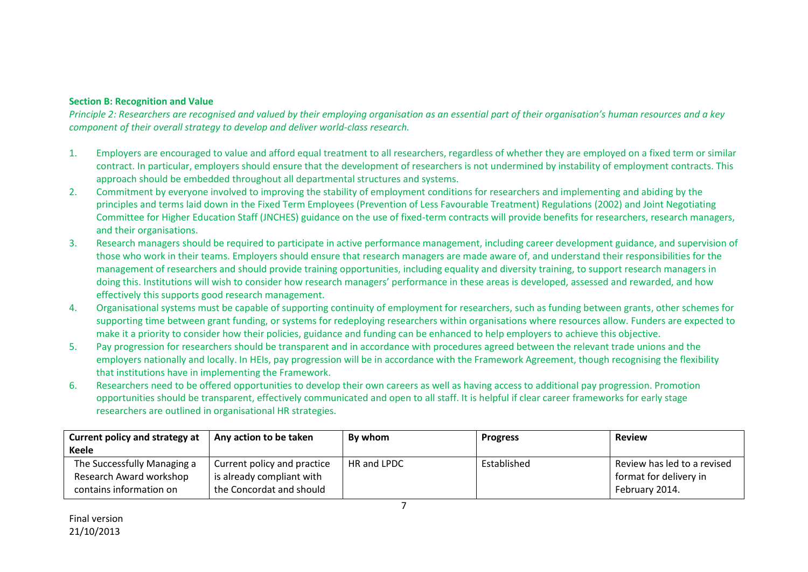### **Section B: Recognition and Value**

*Principle 2: Researchers are recognised and valued by their employing organisation as an essential part of their organisation's human resources and a key component of their overall strategy to develop and deliver world-class research.*

- 1. Employers are encouraged to value and afford equal treatment to all researchers, regardless of whether they are employed on a fixed term or similar contract. In particular, employers should ensure that the development of researchers is not undermined by instability of employment contracts. This approach should be embedded throughout all departmental structures and systems.
- 2. Commitment by everyone involved to improving the stability of employment conditions for researchers and implementing and abiding by the principles and terms laid down in the Fixed Term Employees (Prevention of Less Favourable Treatment) Regulations (2002) and Joint Negotiating Committee for Higher Education Staff (JNCHES) guidance on the use of fixed-term contracts will provide benefits for researchers, research managers, and their organisations.
- 3. Research managers should be required to participate in active performance management, including career development guidance, and supervision of those who work in their teams. Employers should ensure that research managers are made aware of, and understand their responsibilities for the management of researchers and should provide training opportunities, including equality and diversity training, to support research managers in doing this. Institutions will wish to consider how research managers' performance in these areas is developed, assessed and rewarded, and how effectively this supports good research management.
- 4. Organisational systems must be capable of supporting continuity of employment for researchers, such as funding between grants, other schemes for supporting time between grant funding, or systems for redeploying researchers within organisations where resources allow. Funders are expected to make it a priority to consider how their policies, guidance and funding can be enhanced to help employers to achieve this objective.
- 5. Pay progression for researchers should be transparent and in accordance with procedures agreed between the relevant trade unions and the employers nationally and locally. In HEIs, pay progression will be in accordance with the Framework Agreement, though recognising the flexibility that institutions have in implementing the Framework.
- 6. Researchers need to be offered opportunities to develop their own careers as well as having access to additional pay progression. Promotion opportunities should be transparent, effectively communicated and open to all staff. It is helpful if clear career frameworks for early stage researchers are outlined in organisational HR strategies.

| Current policy and strategy at | Any action to be taken      | By whom     | <b>Progress</b> | <b>Review</b>               |
|--------------------------------|-----------------------------|-------------|-----------------|-----------------------------|
| Keele                          |                             |             |                 |                             |
| The Successfully Managing a    | Current policy and practice | HR and LPDC | Established     | Review has led to a revised |
| Research Award workshop        | is already compliant with   |             |                 | format for delivery in      |
| contains information on        | the Concordat and should    |             |                 | February 2014.              |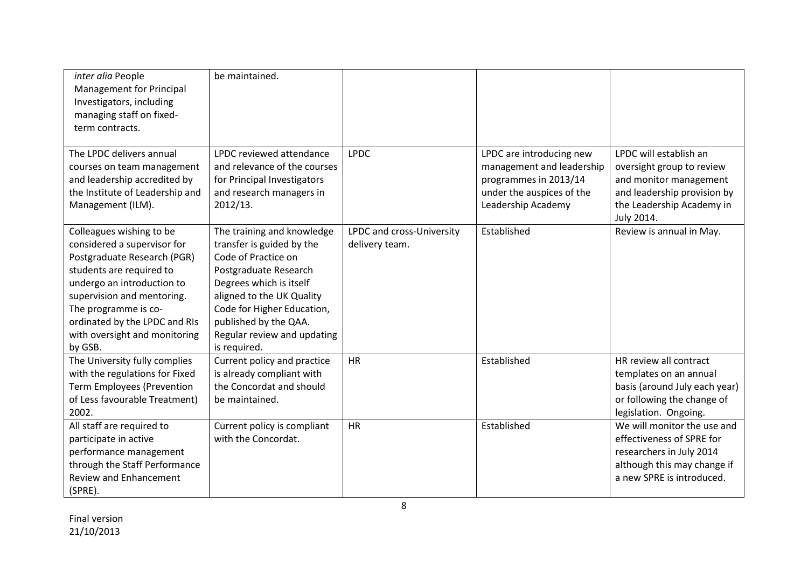| inter alia People<br>Management for Principal<br>Investigators, including<br>managing staff on fixed-<br>term contracts.                                                                                                                                                            | be maintained.                                                                                                                                                                                                                                                        |                                             |                                                                                                                                   |                                                                                                                                                         |
|-------------------------------------------------------------------------------------------------------------------------------------------------------------------------------------------------------------------------------------------------------------------------------------|-----------------------------------------------------------------------------------------------------------------------------------------------------------------------------------------------------------------------------------------------------------------------|---------------------------------------------|-----------------------------------------------------------------------------------------------------------------------------------|---------------------------------------------------------------------------------------------------------------------------------------------------------|
| The LPDC delivers annual<br>courses on team management<br>and leadership accredited by<br>the Institute of Leadership and<br>Management (ILM).                                                                                                                                      | LPDC reviewed attendance<br>and relevance of the courses<br>for Principal Investigators<br>and research managers in<br>2012/13.                                                                                                                                       | <b>LPDC</b>                                 | LPDC are introducing new<br>management and leadership<br>programmes in 2013/14<br>under the auspices of the<br>Leadership Academy | LPDC will establish an<br>oversight group to review<br>and monitor management<br>and leadership provision by<br>the Leadership Academy in<br>July 2014. |
| Colleagues wishing to be<br>considered a supervisor for<br>Postgraduate Research (PGR)<br>students are required to<br>undergo an introduction to<br>supervision and mentoring.<br>The programme is co-<br>ordinated by the LPDC and RIs<br>with oversight and monitoring<br>by GSB. | The training and knowledge<br>transfer is guided by the<br>Code of Practice on<br>Postgraduate Research<br>Degrees which is itself<br>aligned to the UK Quality<br>Code for Higher Education,<br>published by the QAA.<br>Regular review and updating<br>is required. | LPDC and cross-University<br>delivery team. | Established                                                                                                                       | Review is annual in May.                                                                                                                                |
| The University fully complies<br>with the regulations for Fixed<br><b>Term Employees (Prevention</b><br>of Less favourable Treatment)<br>2002.                                                                                                                                      | Current policy and practice<br>is already compliant with<br>the Concordat and should<br>be maintained.                                                                                                                                                                | <b>HR</b>                                   | Established                                                                                                                       | HR review all contract<br>templates on an annual<br>basis (around July each year)<br>or following the change of<br>legislation. Ongoing.                |
| All staff are required to<br>participate in active<br>performance management<br>through the Staff Performance<br><b>Review and Enhancement</b><br>(SPRE).                                                                                                                           | Current policy is compliant<br>with the Concordat.                                                                                                                                                                                                                    | HR                                          | Established                                                                                                                       | We will monitor the use and<br>effectiveness of SPRE for<br>researchers in July 2014<br>although this may change if<br>a new SPRE is introduced.        |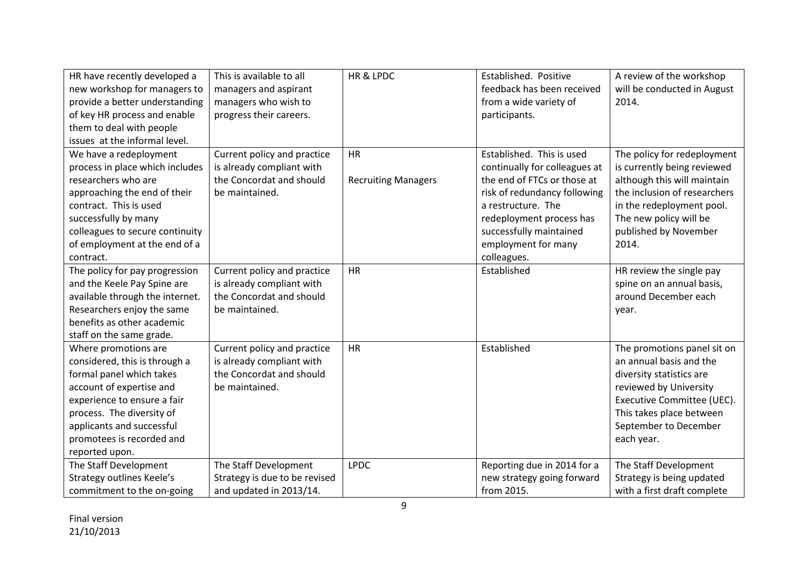| HR have recently developed a     | This is available to all      | HR & LPDC                  | Established. Positive         | A review of the workshop     |
|----------------------------------|-------------------------------|----------------------------|-------------------------------|------------------------------|
| new workshop for managers to     | managers and aspirant         |                            | feedback has been received    | will be conducted in August  |
| provide a better understanding   | managers who wish to          |                            | from a wide variety of        | 2014.                        |
| of key HR process and enable     | progress their careers.       |                            | participants.                 |                              |
| them to deal with people         |                               |                            |                               |                              |
| issues at the informal level.    |                               |                            |                               |                              |
| We have a redeployment           | Current policy and practice   | <b>HR</b>                  | Established. This is used     | The policy for redeployment  |
| process in place which includes  | is already compliant with     |                            | continually for colleagues at | is currently being reviewed  |
| researchers who are              | the Concordat and should      | <b>Recruiting Managers</b> | the end of FTCs or those at   | although this will maintain  |
| approaching the end of their     | be maintained.                |                            | risk of redundancy following  | the inclusion of researchers |
| contract. This is used           |                               |                            | a restructure. The            | in the redeployment pool.    |
| successfully by many             |                               |                            | redeployment process has      | The new policy will be       |
| colleagues to secure continuity  |                               |                            | successfully maintained       | published by November        |
| of employment at the end of a    |                               |                            | employment for many           | 2014.                        |
| contract.                        |                               |                            | colleagues.                   |                              |
| The policy for pay progression   | Current policy and practice   | <b>HR</b>                  | Established                   | HR review the single pay     |
| and the Keele Pay Spine are      | is already compliant with     |                            |                               | spine on an annual basis,    |
| available through the internet.  | the Concordat and should      |                            |                               | around December each         |
| Researchers enjoy the same       | be maintained.                |                            |                               | year.                        |
| benefits as other academic       |                               |                            |                               |                              |
| staff on the same grade.         |                               |                            |                               |                              |
| Where promotions are             | Current policy and practice   | <b>HR</b>                  | Established                   | The promotions panel sit on  |
| considered, this is through a    | is already compliant with     |                            |                               | an annual basis and the      |
| formal panel which takes         | the Concordat and should      |                            |                               | diversity statistics are     |
| account of expertise and         | be maintained.                |                            |                               | reviewed by University       |
| experience to ensure a fair      |                               |                            |                               | Executive Committee (UEC).   |
| process. The diversity of        |                               |                            |                               | This takes place between     |
| applicants and successful        |                               |                            |                               | September to December        |
| promotees is recorded and        |                               |                            |                               | each year.                   |
| reported upon.                   |                               |                            |                               |                              |
| The Staff Development            | The Staff Development         | <b>LPDC</b>                | Reporting due in 2014 for a   | The Staff Development        |
| <b>Strategy outlines Keele's</b> | Strategy is due to be revised |                            | new strategy going forward    | Strategy is being updated    |
| commitment to the on-going       | and updated in 2013/14.       |                            | from 2015.                    | with a first draft complete  |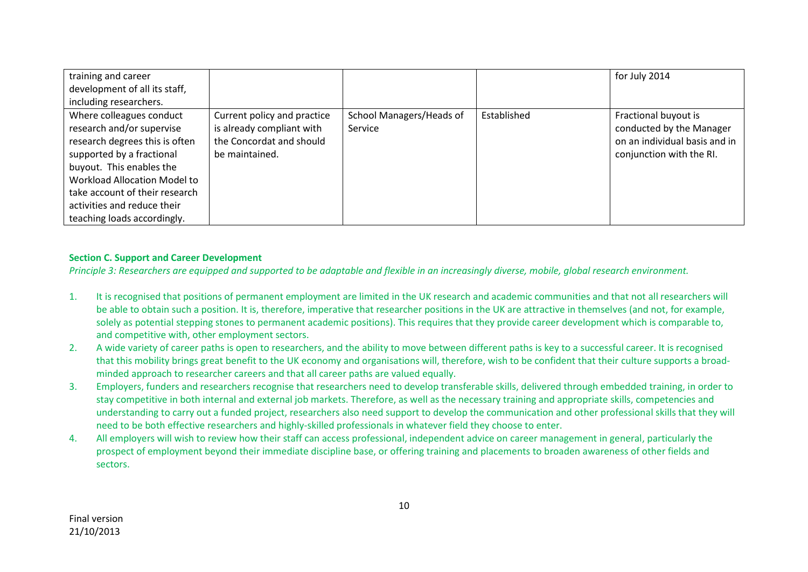| training and career                 |                             |                          |             | for July 2014                 |
|-------------------------------------|-----------------------------|--------------------------|-------------|-------------------------------|
| development of all its staff,       |                             |                          |             |                               |
| including researchers.              |                             |                          |             |                               |
| Where colleagues conduct            | Current policy and practice | School Managers/Heads of | Established | Fractional buyout is          |
| research and/or supervise           | is already compliant with   | Service                  |             | conducted by the Manager      |
| research degrees this is often      | the Concordat and should    |                          |             | on an individual basis and in |
| supported by a fractional           | be maintained.              |                          |             | conjunction with the RI.      |
| buyout. This enables the            |                             |                          |             |                               |
| <b>Workload Allocation Model to</b> |                             |                          |             |                               |
| take account of their research      |                             |                          |             |                               |
| activities and reduce their         |                             |                          |             |                               |
| teaching loads accordingly.         |                             |                          |             |                               |

### **Section C. Support and Career Development**

*Principle 3: Researchers are equipped and supported to be adaptable and flexible in an increasingly diverse, mobile, global research environment.*

- 1. It is recognised that positions of permanent employment are limited in the UK research and academic communities and that not all researchers will be able to obtain such a position. It is, therefore, imperative that researcher positions in the UK are attractive in themselves (and not, for example, solely as potential stepping stones to permanent academic positions). This requires that they provide career development which is comparable to, and competitive with, other employment sectors.
- 2. A wide variety of career paths is open to researchers, and the ability to move between different paths is key to a successful career. It is recognised that this mobility brings great benefit to the UK economy and organisations will, therefore, wish to be confident that their culture supports a broadminded approach to researcher careers and that all career paths are valued equally.
- 3. Employers, funders and researchers recognise that researchers need to develop transferable skills, delivered through embedded training, in order to stay competitive in both internal and external job markets. Therefore, as well as the necessary training and appropriate skills, competencies and understanding to carry out a funded project, researchers also need support to develop the communication and other professional skills that they will need to be both effective researchers and highly-skilled professionals in whatever field they choose to enter.
- 4. All employers will wish to review how their staff can access professional, independent advice on career management in general, particularly the prospect of employment beyond their immediate discipline base, or offering training and placements to broaden awareness of other fields and sectors.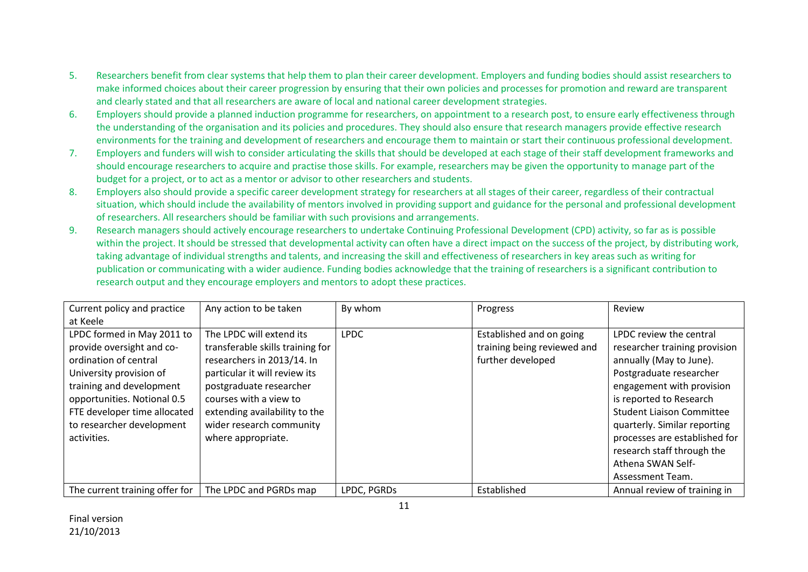- 5. Researchers benefit from clear systems that help them to plan their career development. Employers and funding bodies should assist researchers to make informed choices about their career progression by ensuring that their own policies and processes for promotion and reward are transparent and clearly stated and that all researchers are aware of local and national career development strategies.
- 6. Employers should provide a planned induction programme for researchers, on appointment to a research post, to ensure early effectiveness through the understanding of the organisation and its policies and procedures. They should also ensure that research managers provide effective research environments for the training and development of researchers and encourage them to maintain or start their continuous professional development.
- 7. Employers and funders will wish to consider articulating the skills that should be developed at each stage of their staff development frameworks and should encourage researchers to acquire and practise those skills. For example, researchers may be given the opportunity to manage part of the budget for a project, or to act as a mentor or advisor to other researchers and students.
- 8. Employers also should provide a specific career development strategy for researchers at all stages of their career, regardless of their contractual situation, which should include the availability of mentors involved in providing support and guidance for the personal and professional development of researchers. All researchers should be familiar with such provisions and arrangements.
- 9. Research managers should actively encourage researchers to undertake Continuing Professional Development (CPD) activity, so far as is possible within the project. It should be stressed that developmental activity can often have a direct impact on the success of the project, by distributing work, taking advantage of individual strengths and talents, and increasing the skill and effectiveness of researchers in key areas such as writing for publication or communicating with a wider audience. Funding bodies acknowledge that the training of researchers is a significant contribution to research output and they encourage employers and mentors to adopt these practices.

| Current policy and practice    | Any action to be taken           | By whom     | Progress                    | Review                           |
|--------------------------------|----------------------------------|-------------|-----------------------------|----------------------------------|
| at Keele                       |                                  |             |                             |                                  |
| LPDC formed in May 2011 to     | The LPDC will extend its         | <b>LPDC</b> | Established and on going    | LPDC review the central          |
| provide oversight and co-      | transferable skills training for |             | training being reviewed and | researcher training provision    |
| ordination of central          | researchers in 2013/14. In       |             | further developed           | annually (May to June).          |
| University provision of        | particular it will review its    |             |                             | Postgraduate researcher          |
| training and development       | postgraduate researcher          |             |                             | engagement with provision        |
| opportunities. Notional 0.5    | courses with a view to           |             |                             | is reported to Research          |
| FTE developer time allocated   | extending availability to the    |             |                             | <b>Student Liaison Committee</b> |
| to researcher development      | wider research community         |             |                             | quarterly. Similar reporting     |
| activities.                    | where appropriate.               |             |                             | processes are established for    |
|                                |                                  |             |                             | research staff through the       |
|                                |                                  |             |                             | Athena SWAN Self-                |
|                                |                                  |             |                             | Assessment Team.                 |
| The current training offer for | The LPDC and PGRDs map           | LPDC, PGRDs | Established                 | Annual review of training in     |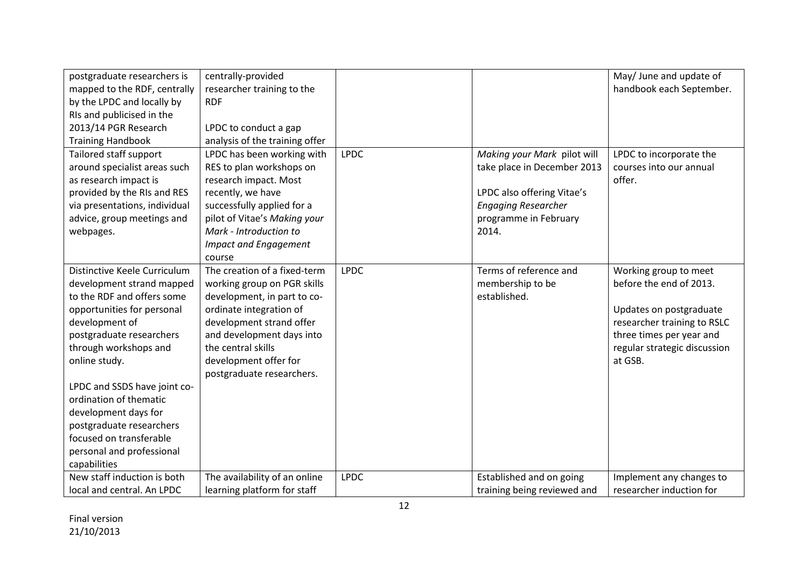| postgraduate researchers is   | centrally-provided             |             |                             | May/ June and update of      |
|-------------------------------|--------------------------------|-------------|-----------------------------|------------------------------|
| mapped to the RDF, centrally  | researcher training to the     |             |                             | handbook each September.     |
| by the LPDC and locally by    | <b>RDF</b>                     |             |                             |                              |
| RIs and publicised in the     |                                |             |                             |                              |
| 2013/14 PGR Research          | LPDC to conduct a gap          |             |                             |                              |
| <b>Training Handbook</b>      | analysis of the training offer |             |                             |                              |
| Tailored staff support        | LPDC has been working with     | <b>LPDC</b> | Making your Mark pilot will | LPDC to incorporate the      |
| around specialist areas such  | RES to plan workshops on       |             | take place in December 2013 | courses into our annual      |
| as research impact is         | research impact. Most          |             |                             | offer.                       |
| provided by the RIs and RES   | recently, we have              |             | LPDC also offering Vitae's  |                              |
| via presentations, individual | successfully applied for a     |             | <b>Engaging Researcher</b>  |                              |
| advice, group meetings and    | pilot of Vitae's Making your   |             | programme in February       |                              |
| webpages.                     | Mark - Introduction to         |             | 2014.                       |                              |
|                               | <b>Impact and Engagement</b>   |             |                             |                              |
|                               | course                         |             |                             |                              |
| Distinctive Keele Curriculum  | The creation of a fixed-term   | <b>LPDC</b> | Terms of reference and      | Working group to meet        |
| development strand mapped     | working group on PGR skills    |             | membership to be            | before the end of 2013.      |
| to the RDF and offers some    | development, in part to co-    |             | established.                |                              |
| opportunities for personal    | ordinate integration of        |             |                             | Updates on postgraduate      |
| development of                | development strand offer       |             |                             | researcher training to RSLC  |
| postgraduate researchers      | and development days into      |             |                             | three times per year and     |
| through workshops and         | the central skills             |             |                             | regular strategic discussion |
| online study.                 | development offer for          |             |                             | at GSB.                      |
|                               | postgraduate researchers.      |             |                             |                              |
| LPDC and SSDS have joint co-  |                                |             |                             |                              |
| ordination of thematic        |                                |             |                             |                              |
| development days for          |                                |             |                             |                              |
| postgraduate researchers      |                                |             |                             |                              |
| focused on transferable       |                                |             |                             |                              |
| personal and professional     |                                |             |                             |                              |
| capabilities                  |                                |             |                             |                              |
| New staff induction is both   | The availability of an online  | <b>LPDC</b> | Established and on going    | Implement any changes to     |
| local and central. An LPDC    | learning platform for staff    |             | training being reviewed and | researcher induction for     |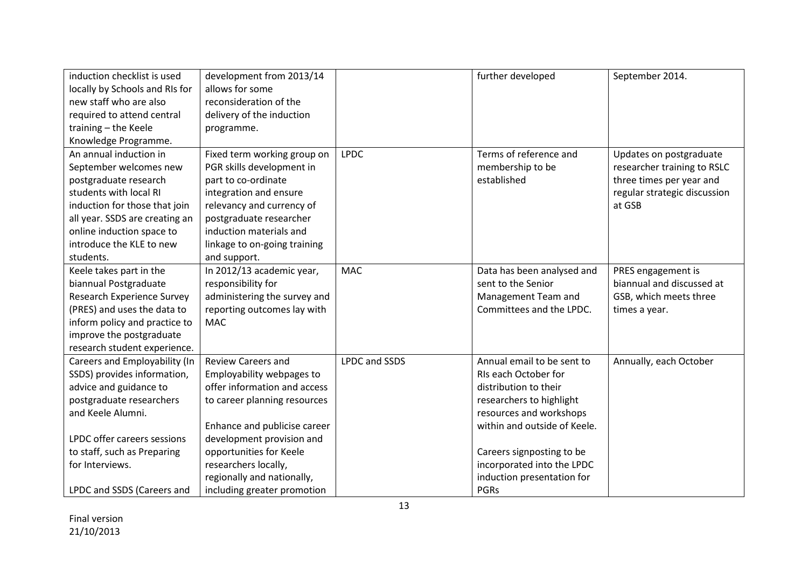| induction checklist is used       | development from 2013/14     |                      | further developed            | September 2014.              |
|-----------------------------------|------------------------------|----------------------|------------------------------|------------------------------|
| locally by Schools and RIs for    | allows for some              |                      |                              |                              |
| new staff who are also            | reconsideration of the       |                      |                              |                              |
| required to attend central        | delivery of the induction    |                      |                              |                              |
| training - the Keele              | programme.                   |                      |                              |                              |
| Knowledge Programme.              |                              |                      |                              |                              |
| An annual induction in            | Fixed term working group on  | <b>LPDC</b>          | Terms of reference and       | Updates on postgraduate      |
| September welcomes new            | PGR skills development in    |                      | membership to be             | researcher training to RSLC  |
| postgraduate research             | part to co-ordinate          |                      | established                  | three times per year and     |
| students with local RI            | integration and ensure       |                      |                              | regular strategic discussion |
| induction for those that join     | relevancy and currency of    |                      |                              | at GSB                       |
| all year. SSDS are creating an    | postgraduate researcher      |                      |                              |                              |
| online induction space to         | induction materials and      |                      |                              |                              |
| introduce the KLE to new          | linkage to on-going training |                      |                              |                              |
| students.                         | and support.                 |                      |                              |                              |
| Keele takes part in the           | In 2012/13 academic year,    | <b>MAC</b>           | Data has been analysed and   | PRES engagement is           |
| biannual Postgraduate             | responsibility for           |                      | sent to the Senior           | biannual and discussed at    |
| <b>Research Experience Survey</b> | administering the survey and |                      | Management Team and          | GSB, which meets three       |
| (PRES) and uses the data to       | reporting outcomes lay with  |                      | Committees and the LPDC.     | times a year.                |
| inform policy and practice to     | <b>MAC</b>                   |                      |                              |                              |
| improve the postgraduate          |                              |                      |                              |                              |
| research student experience.      |                              |                      |                              |                              |
| Careers and Employability (In     | <b>Review Careers and</b>    | <b>LPDC and SSDS</b> | Annual email to be sent to   | Annually, each October       |
| SSDS) provides information,       | Employability webpages to    |                      | RIs each October for         |                              |
| advice and guidance to            | offer information and access |                      | distribution to their        |                              |
| postgraduate researchers          | to career planning resources |                      | researchers to highlight     |                              |
| and Keele Alumni.                 |                              |                      | resources and workshops      |                              |
|                                   | Enhance and publicise career |                      | within and outside of Keele. |                              |
| LPDC offer careers sessions       | development provision and    |                      |                              |                              |
| to staff, such as Preparing       | opportunities for Keele      |                      | Careers signposting to be    |                              |
| for Interviews.                   | researchers locally,         |                      | incorporated into the LPDC   |                              |
|                                   | regionally and nationally,   |                      | induction presentation for   |                              |
| LPDC and SSDS (Careers and        | including greater promotion  |                      | <b>PGRs</b>                  |                              |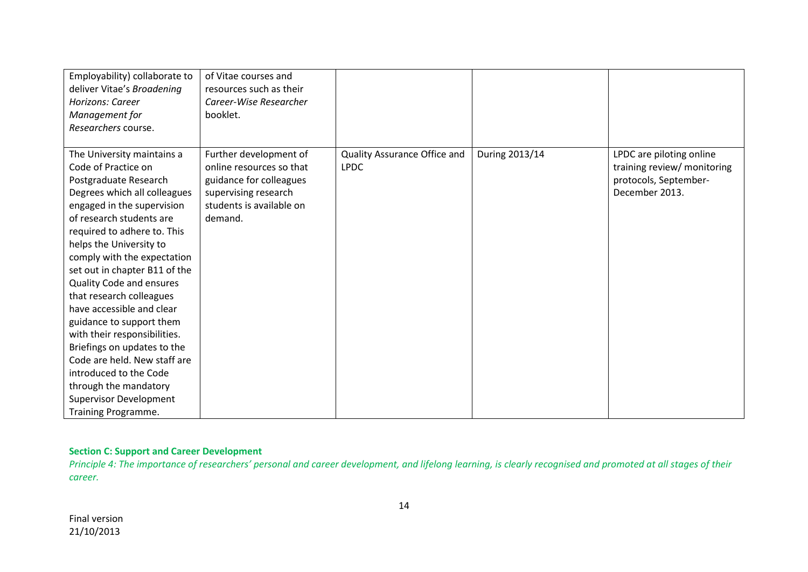| Employability) collaborate to | of Vitae courses and     |                              |                |                             |
|-------------------------------|--------------------------|------------------------------|----------------|-----------------------------|
| deliver Vitae's Broadening    | resources such as their  |                              |                |                             |
| Horizons: Career              | Career-Wise Researcher   |                              |                |                             |
| Management for                | booklet.                 |                              |                |                             |
| Researchers course.           |                          |                              |                |                             |
|                               |                          |                              |                |                             |
| The University maintains a    | Further development of   | Quality Assurance Office and | During 2013/14 | LPDC are piloting online    |
| Code of Practice on           | online resources so that | <b>LPDC</b>                  |                | training review/ monitoring |
| Postgraduate Research         | guidance for colleagues  |                              |                | protocols, September-       |
| Degrees which all colleagues  | supervising research     |                              |                | December 2013.              |
| engaged in the supervision    | students is available on |                              |                |                             |
| of research students are      | demand.                  |                              |                |                             |
| required to adhere to. This   |                          |                              |                |                             |
| helps the University to       |                          |                              |                |                             |
| comply with the expectation   |                          |                              |                |                             |
| set out in chapter B11 of the |                          |                              |                |                             |
| Quality Code and ensures      |                          |                              |                |                             |
| that research colleagues      |                          |                              |                |                             |
| have accessible and clear     |                          |                              |                |                             |
| guidance to support them      |                          |                              |                |                             |
| with their responsibilities.  |                          |                              |                |                             |
| Briefings on updates to the   |                          |                              |                |                             |
| Code are held. New staff are  |                          |                              |                |                             |
| introduced to the Code        |                          |                              |                |                             |
| through the mandatory         |                          |                              |                |                             |
| <b>Supervisor Development</b> |                          |                              |                |                             |
| Training Programme.           |                          |                              |                |                             |

## **Section C: Support and Career Development**

Principle 4: The importance of researchers' personal and career development, and lifelong learning, is clearly recognised and promoted at all stages of their *career.*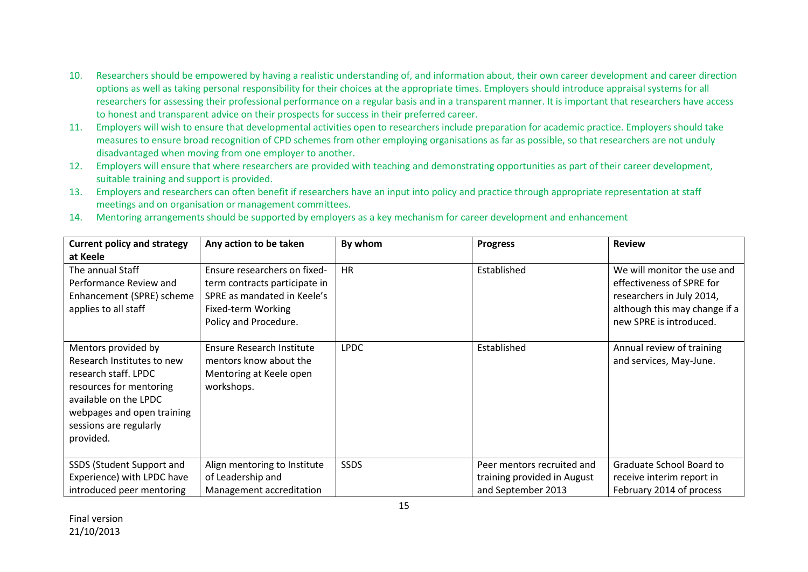- 10. Researchers should be empowered by having a realistic understanding of, and information about, their own career development and career direction options as well as taking personal responsibility for their choices at the appropriate times. Employers should introduce appraisal systems for all researchers for assessing their professional performance on a regular basis and in a transparent manner. It is important that researchers have access to honest and transparent advice on their prospects for success in their preferred career.
- 11. Employers will wish to ensure that developmental activities open to researchers include preparation for academic practice. Employers should take measures to ensure broad recognition of CPD schemes from other employing organisations as far as possible, so that researchers are not unduly disadvantaged when moving from one employer to another.
- 12. Employers will ensure that where researchers are provided with teaching and demonstrating opportunities as part of their career development, suitable training and support is provided.
- 13. Employers and researchers can often benefit if researchers have an input into policy and practice through appropriate representation at staff meetings and on organisation or management committees.
- 14. Mentoring arrangements should be supported by employers as a key mechanism for career development and enhancement

| <b>Current policy and strategy</b> | Any action to be taken           | By whom     | <b>Progress</b>             | <b>Review</b>                 |
|------------------------------------|----------------------------------|-------------|-----------------------------|-------------------------------|
| at Keele                           |                                  |             |                             |                               |
| The annual Staff                   | Ensure researchers on fixed-     | <b>HR</b>   | Established                 | We will monitor the use and   |
| Performance Review and             | term contracts participate in    |             |                             | effectiveness of SPRE for     |
| Enhancement (SPRE) scheme          | SPRE as mandated in Keele's      |             |                             | researchers in July 2014,     |
| applies to all staff               | Fixed-term Working               |             |                             | although this may change if a |
|                                    | Policy and Procedure.            |             |                             | new SPRE is introduced.       |
|                                    |                                  |             |                             |                               |
| Mentors provided by                | <b>Ensure Research Institute</b> | <b>LPDC</b> | Established                 | Annual review of training     |
| Research Institutes to new         | mentors know about the           |             |                             | and services, May-June.       |
| research staff. LPDC               | Mentoring at Keele open          |             |                             |                               |
| resources for mentoring            | workshops.                       |             |                             |                               |
| available on the LPDC              |                                  |             |                             |                               |
| webpages and open training         |                                  |             |                             |                               |
| sessions are regularly             |                                  |             |                             |                               |
| provided.                          |                                  |             |                             |                               |
|                                    |                                  |             |                             |                               |
| SSDS (Student Support and          | Align mentoring to Institute     | <b>SSDS</b> | Peer mentors recruited and  | Graduate School Board to      |
| Experience) with LPDC have         | of Leadership and                |             | training provided in August | receive interim report in     |
| introduced peer mentoring          | Management accreditation         |             | and September 2013          | February 2014 of process      |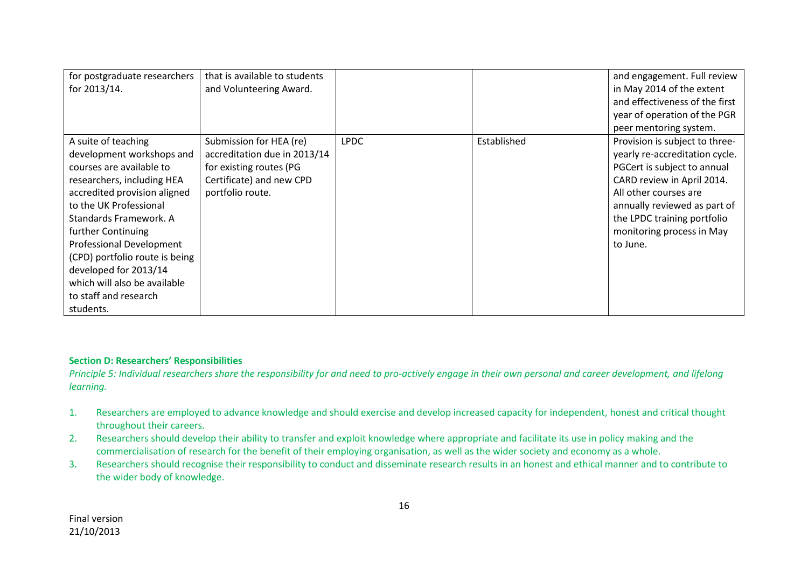| for postgraduate researchers   | that is available to students |             |             | and engagement. Full review    |
|--------------------------------|-------------------------------|-------------|-------------|--------------------------------|
| for 2013/14.                   | and Volunteering Award.       |             |             | in May 2014 of the extent      |
|                                |                               |             |             | and effectiveness of the first |
|                                |                               |             |             | year of operation of the PGR   |
|                                |                               |             |             | peer mentoring system.         |
| A suite of teaching            | Submission for HEA (re)       | <b>LPDC</b> | Established | Provision is subject to three- |
| development workshops and      | accreditation due in 2013/14  |             |             | yearly re-accreditation cycle. |
| courses are available to       | for existing routes (PG       |             |             | PGCert is subject to annual    |
| researchers, including HEA     | Certificate) and new CPD      |             |             | CARD review in April 2014.     |
| accredited provision aligned   | portfolio route.              |             |             | All other courses are          |
| to the UK Professional         |                               |             |             | annually reviewed as part of   |
| Standards Framework. A         |                               |             |             | the LPDC training portfolio    |
| further Continuing             |                               |             |             | monitoring process in May      |
| Professional Development       |                               |             |             | to June.                       |
| (CPD) portfolio route is being |                               |             |             |                                |
| developed for 2013/14          |                               |             |             |                                |
| which will also be available   |                               |             |             |                                |
| to staff and research          |                               |             |             |                                |
| students.                      |                               |             |             |                                |

### **Section D: Researchers' Responsibilities**

*Principle 5: Individual researchers share the responsibility for and need to pro-actively engage in their own personal and career development, and lifelong learning.*

- 1. Researchers are employed to advance knowledge and should exercise and develop increased capacity for independent, honest and critical thought throughout their careers.
- 2. Researchers should develop their ability to transfer and exploit knowledge where appropriate and facilitate its use in policy making and the commercialisation of research for the benefit of their employing organisation, as well as the wider society and economy as a whole.
- 3. Researchers should recognise their responsibility to conduct and disseminate research results in an honest and ethical manner and to contribute to the wider body of knowledge.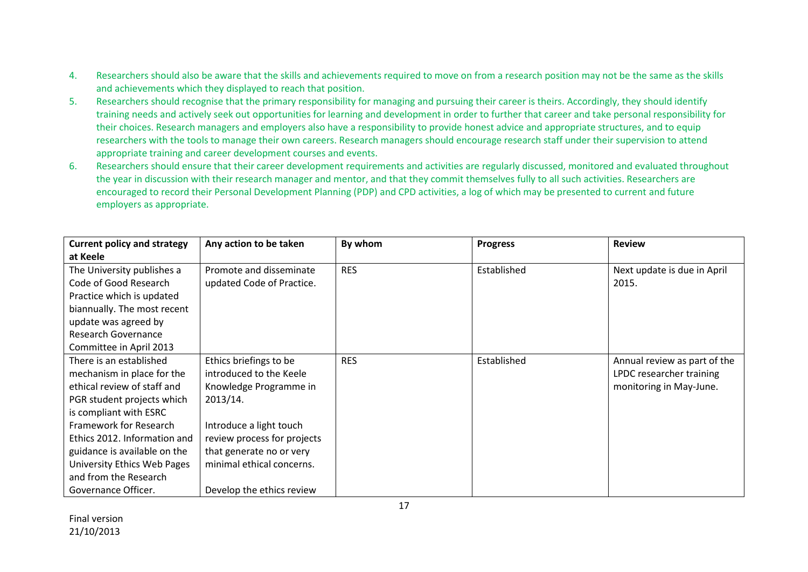- 4. Researchers should also be aware that the skills and achievements required to move on from a research position may not be the same as the skills and achievements which they displayed to reach that position.
- 5. Researchers should recognise that the primary responsibility for managing and pursuing their career is theirs. Accordingly, they should identify training needs and actively seek out opportunities for learning and development in order to further that career and take personal responsibility for their choices. Research managers and employers also have a responsibility to provide honest advice and appropriate structures, and to equip researchers with the tools to manage their own careers. Research managers should encourage research staff under their supervision to attend appropriate training and career development courses and events.
- 6. Researchers should ensure that their career development requirements and activities are regularly discussed, monitored and evaluated throughout the year in discussion with their research manager and mentor, and that they commit themselves fully to all such activities. Researchers are encouraged to record their Personal Development Planning (PDP) and CPD activities, a log of which may be presented to current and future employers as appropriate.

| <b>Current policy and strategy</b> | Any action to be taken      | By whom    | <b>Progress</b> | <b>Review</b>                |
|------------------------------------|-----------------------------|------------|-----------------|------------------------------|
| at Keele                           |                             |            |                 |                              |
| The University publishes a         | Promote and disseminate     | <b>RES</b> | Established     | Next update is due in April  |
| Code of Good Research              | updated Code of Practice.   |            |                 | 2015.                        |
| Practice which is updated          |                             |            |                 |                              |
| biannually. The most recent        |                             |            |                 |                              |
| update was agreed by               |                             |            |                 |                              |
| Research Governance                |                             |            |                 |                              |
| Committee in April 2013            |                             |            |                 |                              |
| There is an established            | Ethics briefings to be      | <b>RES</b> | Established     | Annual review as part of the |
| mechanism in place for the         | introduced to the Keele     |            |                 | LPDC researcher training     |
| ethical review of staff and        | Knowledge Programme in      |            |                 | monitoring in May-June.      |
| PGR student projects which         | 2013/14.                    |            |                 |                              |
| is compliant with ESRC             |                             |            |                 |                              |
| Framework for Research             | Introduce a light touch     |            |                 |                              |
| Ethics 2012. Information and       | review process for projects |            |                 |                              |
| guidance is available on the       | that generate no or very    |            |                 |                              |
| University Ethics Web Pages        | minimal ethical concerns.   |            |                 |                              |
| and from the Research              |                             |            |                 |                              |
| Governance Officer.                | Develop the ethics review   |            |                 |                              |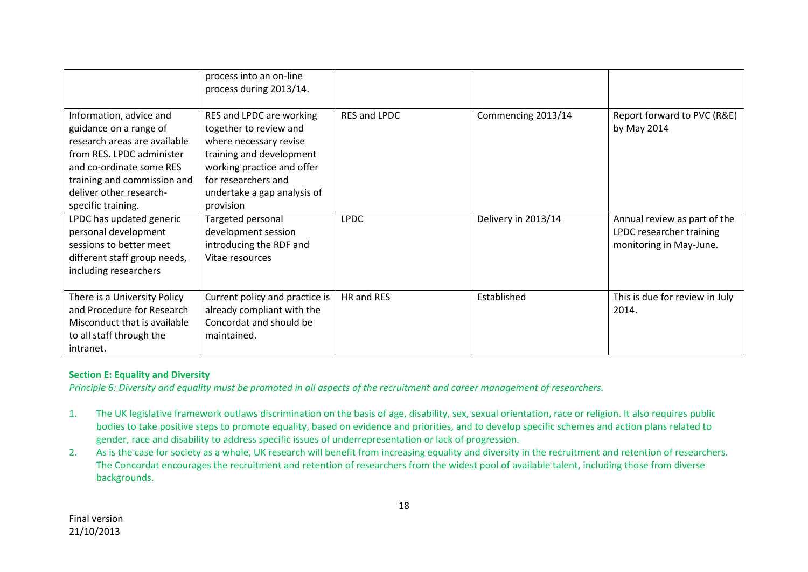|                                                                                                                                                                                                                            | process into an on-line<br>process during 2013/14.                                                                                                                                                        |                     |                     |                                                                                     |
|----------------------------------------------------------------------------------------------------------------------------------------------------------------------------------------------------------------------------|-----------------------------------------------------------------------------------------------------------------------------------------------------------------------------------------------------------|---------------------|---------------------|-------------------------------------------------------------------------------------|
| Information, advice and<br>guidance on a range of<br>research areas are available<br>from RES. LPDC administer<br>and co-ordinate some RES<br>training and commission and<br>deliver other research-<br>specific training. | RES and LPDC are working<br>together to review and<br>where necessary revise<br>training and development<br>working practice and offer<br>for researchers and<br>undertake a gap analysis of<br>provision | <b>RES and LPDC</b> | Commencing 2013/14  | Report forward to PVC (R&E)<br>by May 2014                                          |
| LPDC has updated generic<br>personal development<br>sessions to better meet<br>different staff group needs,<br>including researchers                                                                                       | Targeted personal<br>development session<br>introducing the RDF and<br>Vitae resources                                                                                                                    | <b>LPDC</b>         | Delivery in 2013/14 | Annual review as part of the<br>LPDC researcher training<br>monitoring in May-June. |
| There is a University Policy<br>and Procedure for Research<br>Misconduct that is available<br>to all staff through the<br>intranet.                                                                                        | Current policy and practice is<br>already compliant with the<br>Concordat and should be<br>maintained.                                                                                                    | HR and RES          | Established         | This is due for review in July<br>2014.                                             |

### **Section E: Equality and Diversity**

*Principle 6: Diversity and equality must be promoted in all aspects of the recruitment and career management of researchers.*

- 1. The UK legislative framework outlaws discrimination on the basis of age, disability, sex, sexual orientation, race or religion. It also requires public bodies to take positive steps to promote equality, based on evidence and priorities, and to develop specific schemes and action plans related to gender, race and disability to address specific issues of underrepresentation or lack of progression.
- 2. As is the case for society as a whole, UK research will benefit from increasing equality and diversity in the recruitment and retention of researchers. The Concordat encourages the recruitment and retention of researchers from the widest pool of available talent, including those from diverse backgrounds.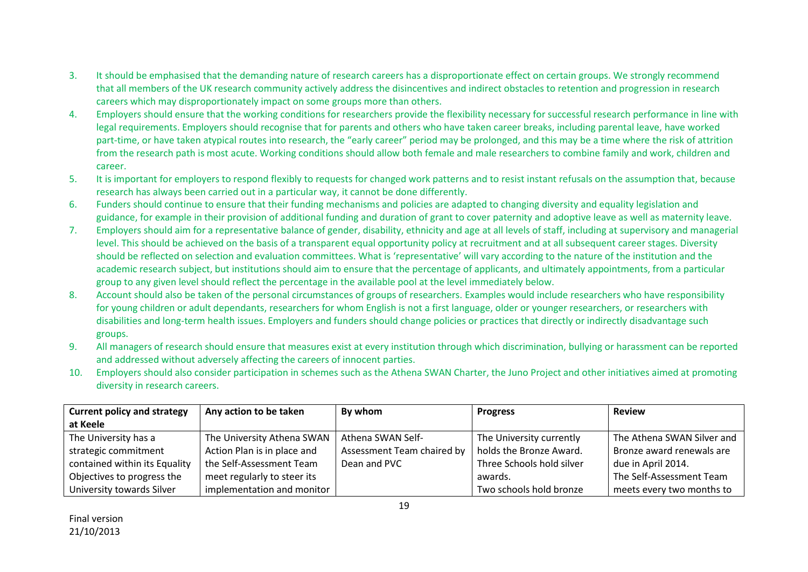- 3. It should be emphasised that the demanding nature of research careers has a disproportionate effect on certain groups. We strongly recommend that all members of the UK research community actively address the disincentives and indirect obstacles to retention and progression in research careers which may disproportionately impact on some groups more than others.
- 4. Employers should ensure that the working conditions for researchers provide the flexibility necessary for successful research performance in line with legal requirements. Employers should recognise that for parents and others who have taken career breaks, including parental leave, have worked part-time, or have taken atypical routes into research, the "early career" period may be prolonged, and this may be a time where the risk of attrition from the research path is most acute. Working conditions should allow both female and male researchers to combine family and work, children and career.
- 5. It is important for employers to respond flexibly to requests for changed work patterns and to resist instant refusals on the assumption that, because research has always been carried out in a particular way, it cannot be done differently.
- 6. Funders should continue to ensure that their funding mechanisms and policies are adapted to changing diversity and equality legislation and guidance, for example in their provision of additional funding and duration of grant to cover paternity and adoptive leave as well as maternity leave.
- 7. Employers should aim for a representative balance of gender, disability, ethnicity and age at all levels of staff, including at supervisory and managerial level. This should be achieved on the basis of a transparent equal opportunity policy at recruitment and at all subsequent career stages. Diversity should be reflected on selection and evaluation committees. What is 'representative' will vary according to the nature of the institution and the academic research subject, but institutions should aim to ensure that the percentage of applicants, and ultimately appointments, from a particular group to any given level should reflect the percentage in the available pool at the level immediately below.
- 8. Account should also be taken of the personal circumstances of groups of researchers. Examples would include researchers who have responsibility for young children or adult dependants, researchers for whom English is not a first language, older or younger researchers, or researchers with disabilities and long-term health issues. Employers and funders should change policies or practices that directly or indirectly disadvantage such groups.
- 9. All managers of research should ensure that measures exist at every institution through which discrimination, bullying or harassment can be reported and addressed without adversely affecting the careers of innocent parties.
- 10. Employers should also consider participation in schemes such as the Athena SWAN Charter, the Juno Project and other initiatives aimed at promoting diversity in research careers.

| <b>Current policy and strategy</b> | Any action to be taken      | By whom                    | <b>Progress</b>           | <b>Review</b>              |
|------------------------------------|-----------------------------|----------------------------|---------------------------|----------------------------|
| at Keele                           |                             |                            |                           |                            |
| The University has a               | The University Athena SWAN  | Athena SWAN Self-          | The University currently  | The Athena SWAN Silver and |
| strategic commitment               | Action Plan is in place and | Assessment Team chaired by | holds the Bronze Award.   | Bronze award renewals are  |
| contained within its Equality      | the Self-Assessment Team    | Dean and PVC               | Three Schools hold silver | due in April 2014.         |
| Objectives to progress the         | meet regularly to steer its |                            | awards.                   | The Self-Assessment Team   |
| University towards Silver          | implementation and monitor  |                            | Two schools hold bronze   | meets every two months to  |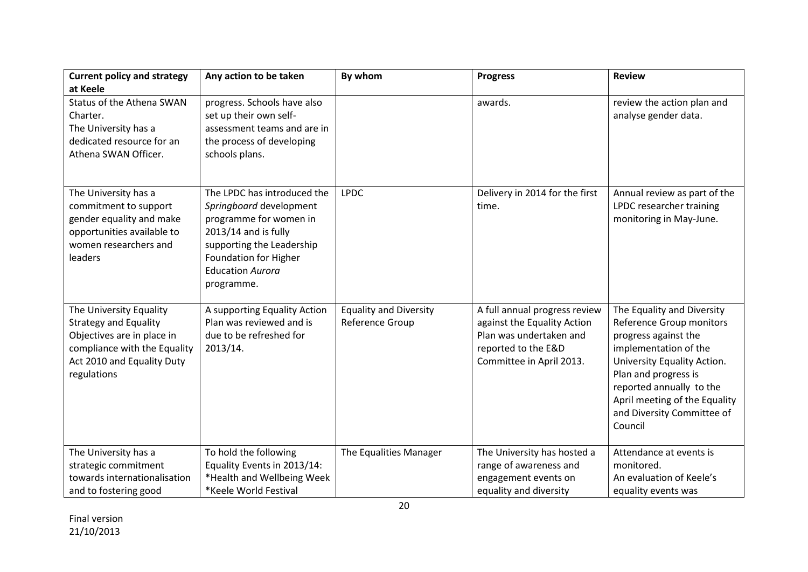| <b>Current policy and strategy</b> | Any action to be taken       | By whom                       | <b>Progress</b>                | <b>Review</b>                 |
|------------------------------------|------------------------------|-------------------------------|--------------------------------|-------------------------------|
| at Keele                           |                              |                               |                                |                               |
| Status of the Athena SWAN          | progress. Schools have also  |                               | awards.                        | review the action plan and    |
| Charter.                           | set up their own self-       |                               |                                | analyse gender data.          |
| The University has a               | assessment teams and are in  |                               |                                |                               |
| dedicated resource for an          | the process of developing    |                               |                                |                               |
| Athena SWAN Officer.               | schools plans.               |                               |                                |                               |
|                                    |                              |                               |                                |                               |
|                                    |                              |                               |                                |                               |
| The University has a               | The LPDC has introduced the  | <b>LPDC</b>                   | Delivery in 2014 for the first | Annual review as part of the  |
| commitment to support              | Springboard development      |                               | time.                          | LPDC researcher training      |
| gender equality and make           | programme for women in       |                               |                                | monitoring in May-June.       |
| opportunities available to         | $2013/14$ and is fully       |                               |                                |                               |
| women researchers and              | supporting the Leadership    |                               |                                |                               |
| leaders                            | Foundation for Higher        |                               |                                |                               |
|                                    | <b>Education Aurora</b>      |                               |                                |                               |
|                                    | programme.                   |                               |                                |                               |
| The University Equality            | A supporting Equality Action | <b>Equality and Diversity</b> | A full annual progress review  | The Equality and Diversity    |
| <b>Strategy and Equality</b>       | Plan was reviewed and is     | Reference Group               | against the Equality Action    | Reference Group monitors      |
| Objectives are in place in         | due to be refreshed for      |                               | Plan was undertaken and        | progress against the          |
| compliance with the Equality       | 2013/14.                     |                               | reported to the E&D            | implementation of the         |
| Act 2010 and Equality Duty         |                              |                               | Committee in April 2013.       | University Equality Action.   |
| regulations                        |                              |                               |                                | Plan and progress is          |
|                                    |                              |                               |                                | reported annually to the      |
|                                    |                              |                               |                                | April meeting of the Equality |
|                                    |                              |                               |                                | and Diversity Committee of    |
|                                    |                              |                               |                                | Council                       |
|                                    |                              |                               |                                |                               |
| The University has a               | To hold the following        | The Equalities Manager        | The University has hosted a    | Attendance at events is       |
| strategic commitment               | Equality Events in 2013/14:  |                               | range of awareness and         | monitored.                    |
| towards internationalisation       | *Health and Wellbeing Week   |                               | engagement events on           | An evaluation of Keele's      |
| and to fostering good              | *Keele World Festival        |                               | equality and diversity         | equality events was           |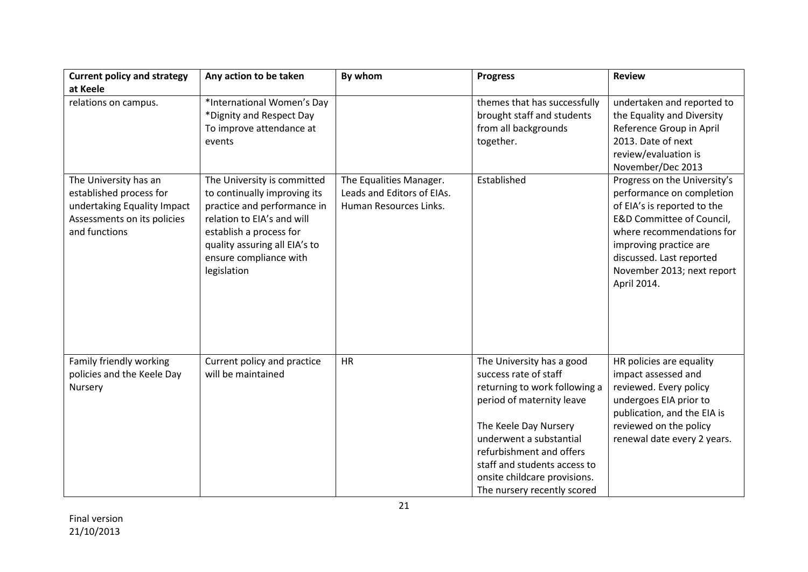| <b>Current policy and strategy</b>                                                                                              | Any action to be taken                                                                                                                                                                                                        | By whom                                                                         | <b>Progress</b>                                                                                                                                                                                                                                                                                 | <b>Review</b>                                                                                                                                                                                                                                         |
|---------------------------------------------------------------------------------------------------------------------------------|-------------------------------------------------------------------------------------------------------------------------------------------------------------------------------------------------------------------------------|---------------------------------------------------------------------------------|-------------------------------------------------------------------------------------------------------------------------------------------------------------------------------------------------------------------------------------------------------------------------------------------------|-------------------------------------------------------------------------------------------------------------------------------------------------------------------------------------------------------------------------------------------------------|
| at Keele                                                                                                                        |                                                                                                                                                                                                                               |                                                                                 |                                                                                                                                                                                                                                                                                                 |                                                                                                                                                                                                                                                       |
| relations on campus.                                                                                                            | *International Women's Day<br>*Dignity and Respect Day<br>To improve attendance at<br>events                                                                                                                                  |                                                                                 | themes that has successfully<br>brought staff and students<br>from all backgrounds<br>together.                                                                                                                                                                                                 | undertaken and reported to<br>the Equality and Diversity<br>Reference Group in April<br>2013. Date of next<br>review/evaluation is<br>November/Dec 2013                                                                                               |
| The University has an<br>established process for<br>undertaking Equality Impact<br>Assessments on its policies<br>and functions | The University is committed<br>to continually improving its<br>practice and performance in<br>relation to EIA's and will<br>establish a process for<br>quality assuring all EIA's to<br>ensure compliance with<br>legislation | The Equalities Manager.<br>Leads and Editors of EIAs.<br>Human Resources Links. | Established                                                                                                                                                                                                                                                                                     | Progress on the University's<br>performance on completion<br>of EIA's is reported to the<br>E&D Committee of Council,<br>where recommendations for<br>improving practice are<br>discussed. Last reported<br>November 2013; next report<br>April 2014. |
| Family friendly working<br>policies and the Keele Day<br>Nursery                                                                | Current policy and practice<br>will be maintained                                                                                                                                                                             | <b>HR</b>                                                                       | The University has a good<br>success rate of staff<br>returning to work following a<br>period of maternity leave<br>The Keele Day Nursery<br>underwent a substantial<br>refurbishment and offers<br>staff and students access to<br>onsite childcare provisions.<br>The nursery recently scored | HR policies are equality<br>impact assessed and<br>reviewed. Every policy<br>undergoes EIA prior to<br>publication, and the EIA is<br>reviewed on the policy<br>renewal date every 2 years.                                                           |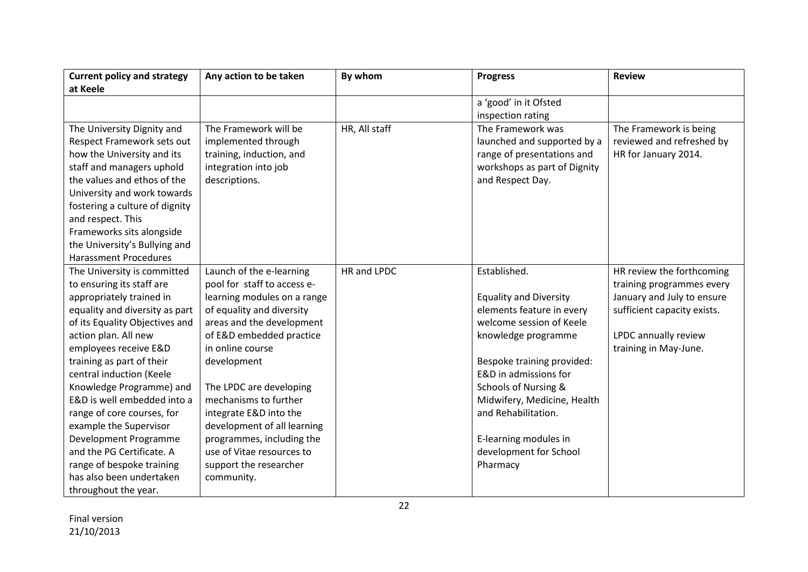| <b>Current policy and strategy</b> | Any action to be taken      | By whom       | <b>Progress</b>               | <b>Review</b>               |
|------------------------------------|-----------------------------|---------------|-------------------------------|-----------------------------|
| at Keele                           |                             |               |                               |                             |
|                                    |                             |               | a 'good' in it Ofsted         |                             |
|                                    |                             |               | inspection rating             |                             |
| The University Dignity and         | The Framework will be       | HR, All staff | The Framework was             | The Framework is being      |
| Respect Framework sets out         | implemented through         |               | launched and supported by a   | reviewed and refreshed by   |
| how the University and its         | training, induction, and    |               | range of presentations and    | HR for January 2014.        |
| staff and managers uphold          | integration into job        |               | workshops as part of Dignity  |                             |
| the values and ethos of the        | descriptions.               |               | and Respect Day.              |                             |
| University and work towards        |                             |               |                               |                             |
| fostering a culture of dignity     |                             |               |                               |                             |
| and respect. This                  |                             |               |                               |                             |
| Frameworks sits alongside          |                             |               |                               |                             |
| the University's Bullying and      |                             |               |                               |                             |
| <b>Harassment Procedures</b>       |                             |               |                               |                             |
| The University is committed        | Launch of the e-learning    | HR and LPDC   | Established.                  | HR review the forthcoming   |
| to ensuring its staff are          | pool for staff to access e- |               |                               | training programmes every   |
| appropriately trained in           | learning modules on a range |               | <b>Equality and Diversity</b> | January and July to ensure  |
| equality and diversity as part     | of equality and diversity   |               | elements feature in every     | sufficient capacity exists. |
| of its Equality Objectives and     | areas and the development   |               | welcome session of Keele      |                             |
| action plan. All new               | of E&D embedded practice    |               | knowledge programme           | LPDC annually review        |
| employees receive E&D              | in online course            |               |                               | training in May-June.       |
| training as part of their          | development                 |               | Bespoke training provided:    |                             |
| central induction (Keele           |                             |               | E&D in admissions for         |                             |
| Knowledge Programme) and           | The LPDC are developing     |               | Schools of Nursing &          |                             |
| E&D is well embedded into a        | mechanisms to further       |               | Midwifery, Medicine, Health   |                             |
| range of core courses, for         | integrate E&D into the      |               | and Rehabilitation.           |                             |
| example the Supervisor             | development of all learning |               |                               |                             |
| Development Programme              | programmes, including the   |               | E-learning modules in         |                             |
| and the PG Certificate. A          | use of Vitae resources to   |               | development for School        |                             |
| range of bespoke training          | support the researcher      |               | Pharmacy                      |                             |
| has also been undertaken           | community.                  |               |                               |                             |
| throughout the year.               |                             |               |                               |                             |